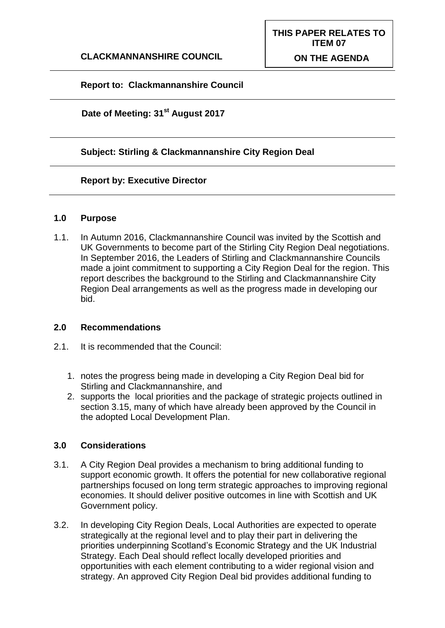## **Report to: Clackmannanshire Council**

**Date of Meeting: 31st August 2017**

## **Subject: Stirling & Clackmannanshire City Region Deal**

#### **Report by: Executive Director**

#### **1.0 Purpose**

1.1. In Autumn 2016, Clackmannanshire Council was invited by the Scottish and UK Governments to become part of the Stirling City Region Deal negotiations. In September 2016, the Leaders of Stirling and Clackmannanshire Councils made a joint commitment to supporting a City Region Deal for the region. This report describes the background to the Stirling and Clackmannanshire City Region Deal arrangements as well as the progress made in developing our bid.

#### **2.0 Recommendations**

- 2.1. It is recommended that the Council:
	- 1. notes the progress being made in developing a City Region Deal bid for Stirling and Clackmannanshire, and
	- 2. supports the local priorities and the package of strategic projects outlined in section 3.15, many of which have already been approved by the Council in the adopted Local Development Plan.

#### **3.0 Considerations**

- 3.1. A City Region Deal provides a mechanism to bring additional funding to support economic growth. It offers the potential for new collaborative regional partnerships focused on long term strategic approaches to improving regional economies. It should deliver positive outcomes in line with Scottish and UK Government policy.
- 3.2. In developing City Region Deals, Local Authorities are expected to operate strategically at the regional level and to play their part in delivering the priorities underpinning Scotland's Economic Strategy and the UK Industrial Strategy. Each Deal should reflect locally developed priorities and opportunities with each element contributing to a wider regional vision and strategy. An approved City Region Deal bid provides additional funding to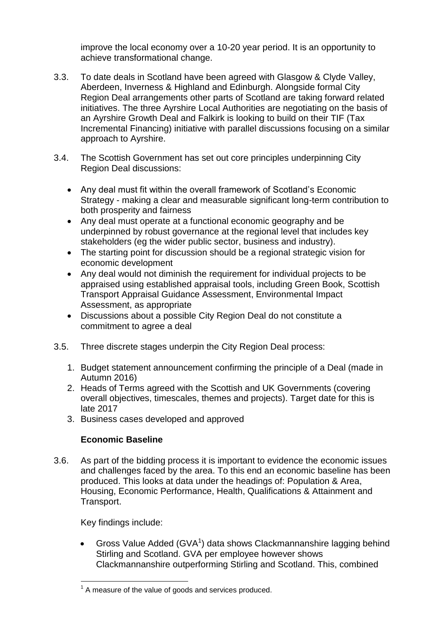improve the local economy over a 10-20 year period. It is an opportunity to achieve transformational change.

- 3.3. To date deals in Scotland have been agreed with Glasgow & Clyde Valley, Aberdeen, Inverness & Highland and Edinburgh. Alongside formal City Region Deal arrangements other parts of Scotland are taking forward related initiatives. The three Ayrshire Local Authorities are negotiating on the basis of an Ayrshire Growth Deal and Falkirk is looking to build on their TIF (Tax Incremental Financing) initiative with parallel discussions focusing on a similar approach to Ayrshire.
- 3.4. The Scottish Government has set out core principles underpinning City Region Deal discussions:
	- Any deal must fit within the overall framework of Scotland's Economic Strategy - making a clear and measurable significant long-term contribution to both prosperity and fairness
	- Any deal must operate at a functional economic geography and be underpinned by robust governance at the regional level that includes key stakeholders (eg the wider public sector, business and industry).
	- The starting point for discussion should be a regional strategic vision for economic development
	- Any deal would not diminish the requirement for individual projects to be appraised using established appraisal tools, including Green Book, Scottish Transport Appraisal Guidance Assessment, Environmental Impact Assessment, as appropriate
	- Discussions about a possible City Region Deal do not constitute a commitment to agree a deal
- 3.5. Three discrete stages underpin the City Region Deal process:
	- 1. Budget statement announcement confirming the principle of a Deal (made in Autumn 2016)
	- 2. Heads of Terms agreed with the Scottish and UK Governments (covering overall objectives, timescales, themes and projects). Target date for this is late 2017
	- 3. Business cases developed and approved

## **Economic Baseline**

3.6. As part of the bidding process it is important to evidence the economic issues and challenges faced by the area. To this end an economic baseline has been produced. This looks at data under the headings of: Population & Area, Housing, Economic Performance, Health, Qualifications & Attainment and Transport.

Key findings include:

Gross Value Added (GVA<sup>1</sup>) data shows Clackmannanshire lagging behind Stirling and Scotland. GVA per employee however shows Clackmannanshire outperforming Stirling and Scotland. This, combined

 1 A measure of the value of goods and services produced.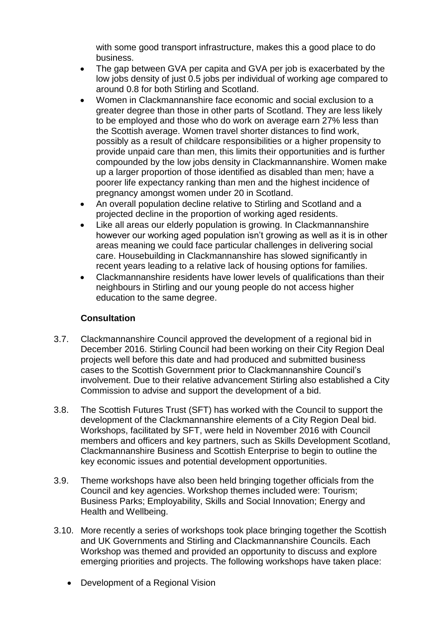with some good transport infrastructure, makes this a good place to do business.

- The gap between GVA per capita and GVA per job is exacerbated by the low jobs density of just 0.5 jobs per individual of working age compared to around 0.8 for both Stirling and Scotland.
- Women in Clackmannanshire face economic and social exclusion to a greater degree than those in other parts of Scotland. They are less likely to be employed and those who do work on average earn 27% less than the Scottish average. Women travel shorter distances to find work, possibly as a result of childcare responsibilities or a higher propensity to provide unpaid care than men, this limits their opportunities and is further compounded by the low jobs density in Clackmannanshire. Women make up a larger proportion of those identified as disabled than men; have a poorer life expectancy ranking than men and the highest incidence of pregnancy amongst women under 20 in Scotland.
- An overall population decline relative to Stirling and Scotland and a projected decline in the proportion of working aged residents.
- Like all areas our elderly population is growing. In Clackmannanshire however our working aged population isn't growing as well as it is in other areas meaning we could face particular challenges in delivering social care. Housebuilding in Clackmannanshire has slowed significantly in recent years leading to a relative lack of housing options for families.
- Clackmannanshire residents have lower levels of qualifications than their neighbours in Stirling and our young people do not access higher education to the same degree.

## **Consultation**

- 3.7. Clackmannanshire Council approved the development of a regional bid in December 2016. Stirling Council had been working on their City Region Deal projects well before this date and had produced and submitted business cases to the Scottish Government prior to Clackmannanshire Council's involvement. Due to their relative advancement Stirling also established a City Commission to advise and support the development of a bid.
- 3.8. The Scottish Futures Trust (SFT) has worked with the Council to support the development of the Clackmannanshire elements of a City Region Deal bid. Workshops, facilitated by SFT, were held in November 2016 with Council members and officers and key partners, such as Skills Development Scotland, Clackmannanshire Business and Scottish Enterprise to begin to outline the key economic issues and potential development opportunities.
- 3.9. Theme workshops have also been held bringing together officials from the Council and key agencies. Workshop themes included were: Tourism; Business Parks; Employability, Skills and Social Innovation; Energy and Health and Wellbeing.
- 3.10. More recently a series of workshops took place bringing together the Scottish and UK Governments and Stirling and Clackmannanshire Councils. Each Workshop was themed and provided an opportunity to discuss and explore emerging priorities and projects. The following workshops have taken place:
	- Development of a Regional Vision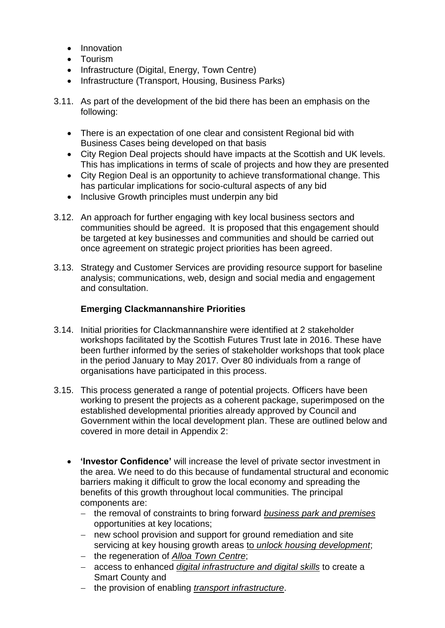- **•** Innovation
- Tourism
- Infrastructure (Digital, Energy, Town Centre)
- Infrastructure (Transport, Housing, Business Parks)
- 3.11. As part of the development of the bid there has been an emphasis on the following:
	- There is an expectation of one clear and consistent Regional bid with Business Cases being developed on that basis
	- City Region Deal projects should have impacts at the Scottish and UK levels. This has implications in terms of scale of projects and how they are presented
	- City Region Deal is an opportunity to achieve transformational change. This has particular implications for socio-cultural aspects of any bid
	- Inclusive Growth principles must underpin any bid
- 3.12. An approach for further engaging with key local business sectors and communities should be agreed. It is proposed that this engagement should be targeted at key businesses and communities and should be carried out once agreement on strategic project priorities has been agreed.
- 3.13. Strategy and Customer Services are providing resource support for baseline analysis; communications, web, design and social media and engagement and consultation.

## **Emerging Clackmannanshire Priorities**

- 3.14. Initial priorities for Clackmannanshire were identified at 2 stakeholder workshops facilitated by the Scottish Futures Trust late in 2016. These have been further informed by the series of stakeholder workshops that took place in the period January to May 2017. Over 80 individuals from a range of organisations have participated in this process.
- 3.15. This process generated a range of potential projects. Officers have been working to present the projects as a coherent package, superimposed on the established developmental priorities already approved by Council and Government within the local development plan. These are outlined below and covered in more detail in Appendix 2:
	- **'Investor Confidence'** will increase the level of private sector investment in the area. We need to do this because of fundamental structural and economic barriers making it difficult to grow the local economy and spreading the benefits of this growth throughout local communities. The principal components are:
		- the removal of constraints to bring forward *business park and premises* opportunities at key locations;
		- new school provision and support for ground remediation and site servicing at key housing growth areas to *unlock housing development*;
		- the regeneration of *Alloa Town Centre*;
		- access to enhanced *digital infrastructure and digital skills* to create a Smart County and
		- the provision of enabling *transport infrastructure*.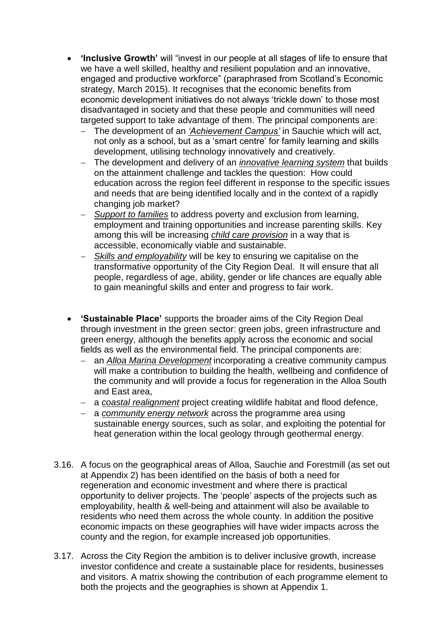- **'Inclusive Growth'** will "invest in our people at all stages of life to ensure that we have a well skilled, healthy and resilient population and an innovative, engaged and productive workforce" (paraphrased from Scotland's Economic strategy, March 2015). It recognises that the economic benefits from economic development initiatives do not always 'trickle down' to those most disadvantaged in society and that these people and communities will need targeted support to take advantage of them. The principal components are:
	- The development of an *'Achievement Campus'* in Sauchie which will act, not only as a school, but as a 'smart centre' for family learning and skills development, utilising technology innovatively and creatively.
	- The development and delivery of an *innovative learning system* that builds on the attainment challenge and tackles the question: How could education across the region feel different in response to the specific issues and needs that are being identified locally and in the context of a rapidly changing job market?
	- *Support to families* to address poverty and exclusion from learning, employment and training opportunities and increase parenting skills. Key among this will be increasing *child care provision* in a way that is accessible, economically viable and sustainable.
	- *Skills and employability* will be key to ensuring we capitalise on the transformative opportunity of the City Region Deal. It will ensure that all people, regardless of age, ability, gender or life chances are equally able to gain meaningful skills and enter and progress to fair work.
- **'Sustainable Place'** supports the broader aims of the City Region Deal through investment in the green sector: green jobs, green infrastructure and green energy, although the benefits apply across the economic and social fields as well as the environmental field. The principal components are:
	- an *Alloa Marina Development* incorporating a creative community campus will make a contribution to building the health, wellbeing and confidence of the community and will provide a focus for regeneration in the Alloa South and East area,
	- a *coastal realignment* project creating wildlife habitat and flood defence,
	- a *community energy network* across the programme area using sustainable energy sources, such as solar, and exploiting the potential for heat generation within the local geology through geothermal energy.
- 3.16. A focus on the geographical areas of Alloa, Sauchie and Forestmill (as set out at Appendix 2) has been identified on the basis of both a need for regeneration and economic investment and where there is practical opportunity to deliver projects. The 'people' aspects of the projects such as employability, health & well-being and attainment will also be available to residents who need them across the whole county. In addition the positive economic impacts on these geographies will have wider impacts across the county and the region, for example increased job opportunities.
- 3.17. Across the City Region the ambition is to deliver inclusive growth, increase investor confidence and create a sustainable place for residents, businesses and visitors. A matrix showing the contribution of each programme element to both the projects and the geographies is shown at Appendix 1.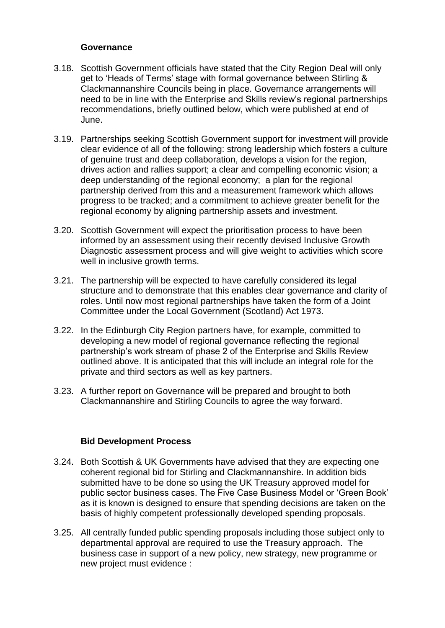### **Governance**

- 3.18. Scottish Government officials have stated that the City Region Deal will only get to 'Heads of Terms' stage with formal governance between Stirling & Clackmannanshire Councils being in place. Governance arrangements will need to be in line with the Enterprise and Skills review's regional partnerships recommendations, briefly outlined below, which were published at end of June.
- 3.19. Partnerships seeking Scottish Government support for investment will provide clear evidence of all of the following: strong leadership which fosters a culture of genuine trust and deep collaboration, develops a vision for the region, drives action and rallies support; a clear and compelling economic vision; a deep understanding of the regional economy; a plan for the regional partnership derived from this and a measurement framework which allows progress to be tracked; and a commitment to achieve greater benefit for the regional economy by aligning partnership assets and investment.
- 3.20. Scottish Government will expect the prioritisation process to have been informed by an assessment using their recently devised Inclusive Growth Diagnostic assessment process and will give weight to activities which score well in inclusive growth terms.
- 3.21. The partnership will be expected to have carefully considered its legal structure and to demonstrate that this enables clear governance and clarity of roles. Until now most regional partnerships have taken the form of a Joint Committee under the Local Government (Scotland) Act 1973.
- 3.22. In the Edinburgh City Region partners have, for example, committed to developing a new model of regional governance reflecting the regional partnership's work stream of phase 2 of the Enterprise and Skills Review outlined above. It is anticipated that this will include an integral role for the private and third sectors as well as key partners.
- 3.23. A further report on Governance will be prepared and brought to both Clackmannanshire and Stirling Councils to agree the way forward.

## **Bid Development Process**

- 3.24. Both Scottish & UK Governments have advised that they are expecting one coherent regional bid for Stirling and Clackmannanshire. In addition bids submitted have to be done so using the UK Treasury approved model for public sector business cases. The Five Case Business Model or 'Green Book' as it is known is designed to ensure that spending decisions are taken on the basis of highly competent professionally developed spending proposals.
- 3.25. All centrally funded public spending proposals including those subject only to departmental approval are required to use the Treasury approach. The business case in support of a new policy, new strategy, new programme or new project must evidence :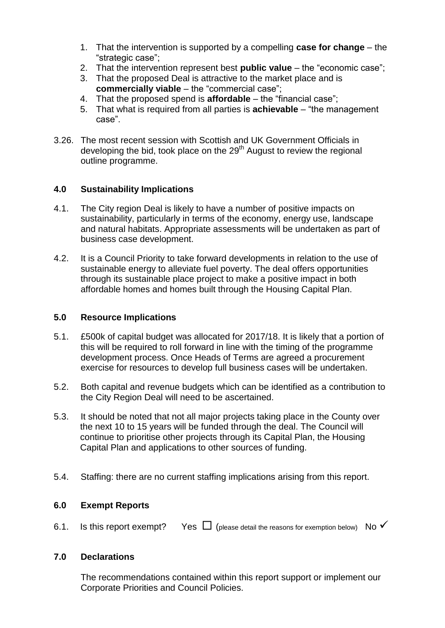- 1. That the intervention is supported by a compelling **case for change**  the "strategic case";
- 2. That the intervention represent best **public value**  the "economic case";
- 3. That the proposed Deal is attractive to the market place and is **commercially viable** – the "commercial case";
- 4. That the proposed spend is **affordable**  the "financial case";
- 5. That what is required from all parties is **achievable**  "the management case".
- 3.26. The most recent session with Scottish and UK Government Officials in developing the bid, took place on the  $29<sup>th</sup>$  August to review the regional outline programme.

## **4.0 Sustainability Implications**

- 4.1. The City region Deal is likely to have a number of positive impacts on sustainability, particularly in terms of the economy, energy use, landscape and natural habitats. Appropriate assessments will be undertaken as part of business case development.
- 4.2. It is a Council Priority to take forward developments in relation to the use of sustainable energy to alleviate fuel poverty. The deal offers opportunities through its sustainable place project to make a positive impact in both affordable homes and homes built through the Housing Capital Plan.

## **5.0 Resource Implications**

- 5.1. £500k of capital budget was allocated for 2017/18. It is likely that a portion of this will be required to roll forward in line with the timing of the programme development process. Once Heads of Terms are agreed a procurement exercise for resources to develop full business cases will be undertaken.
- 5.2. Both capital and revenue budgets which can be identified as a contribution to the City Region Deal will need to be ascertained.
- 5.3. It should be noted that not all major projects taking place in the County over the next 10 to 15 years will be funded through the deal. The Council will continue to prioritise other projects through its Capital Plan, the Housing Capital Plan and applications to other sources of funding.
- 5.4. Staffing: there are no current staffing implications arising from this report.

## **6.0 Exempt Reports**

6.1. Is this report exempt? Yes  $\Box$  (please detail the reasons for exemption below) No  $\checkmark$ 

## **7.0 Declarations**

The recommendations contained within this report support or implement our Corporate Priorities and Council Policies.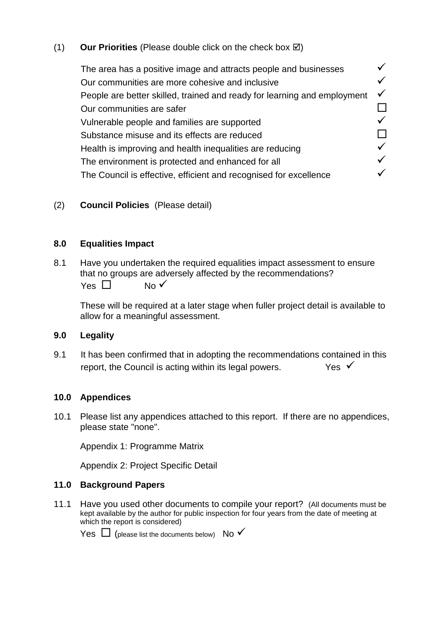# $(1)$  **Our Priorities** (Please double click on the check box  $\boxtimes$ )

The area has a positive image and attracts people and businesses  $\checkmark$ Our communities are more cohesive and inclusive<br>People are better skilled, trained and ready for learning and employment  $\checkmark$ People are better skilled, trained and ready for learning and employment<br>
Our communities are safer<br>
Vulnerable people and families are supported<br>
Substance misuse and its effects are reduced<br>
Health is improving and heal Our communities are safer Vulnerable people and families are supported Substance misuse and its effects are reduced Health is improving and health inequalities are reducing  $\checkmark$ <br>The environment is protected and enhanced for all The environment is protected and enhanced for all The Council is effective, efficient and recognised for excellence  $\checkmark$ 

## (2) **Council Policies** (Please detail)

## **8.0 Equalities Impact**

8.1 Have you undertaken the required equalities impact assessment to ensure that no groups are adversely affected by the recommendations?  $Yes \Box$  No  $\checkmark$ 

These will be required at a later stage when fuller project detail is available to allow for a meaningful assessment.

## **9.0 Legality**

9.1 It has been confirmed that in adopting the recommendations contained in this report, the Council is acting within its legal powers.  $Y_{ES}$ 

## **10.0 Appendices**

10.1 Please list any appendices attached to this report. If there are no appendices, please state "none".

Appendix 1: Programme Matrix

Appendix 2: Project Specific Detail

## **11.0 Background Papers**

11.1 Have you used other documents to compile your report? (All documents must be kept available by the author for public inspection for four years from the date of meeting at which the report is considered)

Yes  $\Box$  (please list the documents below) No  $\checkmark$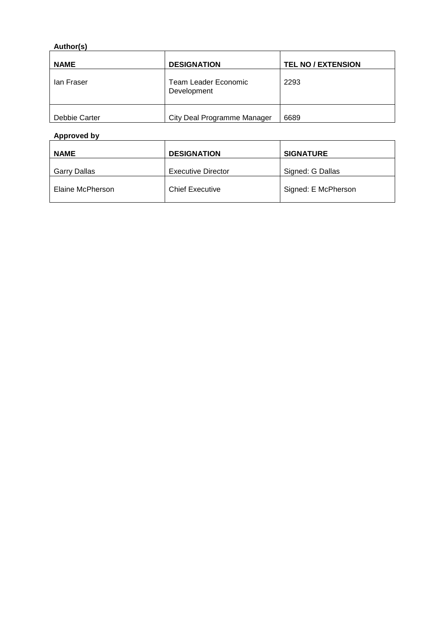# **Author(s)**

| <b>NAME</b>   | <b>DESIGNATION</b>                  | <b>TEL NO / EXTENSION</b> |
|---------------|-------------------------------------|---------------------------|
| lan Fraser    | Team Leader Economic<br>Development | 2293                      |
| Debbie Carter | City Deal Programme Manager         | 6689                      |

# **Approved by**

| <b>NAME</b>      | <b>DESIGNATION</b>        | <b>SIGNATURE</b>    |  |  |
|------------------|---------------------------|---------------------|--|--|
| Garry Dallas     | <b>Executive Director</b> | Signed: G Dallas    |  |  |
| Elaine McPherson | <b>Chief Executive</b>    | Signed: E McPherson |  |  |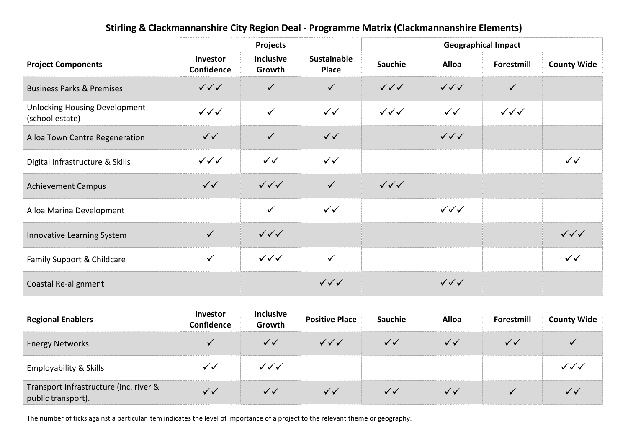# **Stirling & Clackmannanshire City Region Deal - Programme Matrix (Clackmannanshire Elements)**

|                                                         | Projects                         |                                  |                                  | <b>Geographical Impact</b>       |                                  |                                  |                        |
|---------------------------------------------------------|----------------------------------|----------------------------------|----------------------------------|----------------------------------|----------------------------------|----------------------------------|------------------------|
| <b>Project Components</b>                               | Investor<br>Confidence           | <b>Inclusive</b><br>Growth       | Sustainable<br>Place             | <b>Sauchie</b>                   | <b>Alloa</b>                     | Forestmill                       | <b>County Wide</b>     |
| <b>Business Parks &amp; Premises</b>                    | $\checkmark\checkmark$           | $\checkmark$                     | $\checkmark$                     | $\checkmark\checkmark\checkmark$ | $\checkmark\checkmark\checkmark$ | $\checkmark$                     |                        |
| <b>Unlocking Housing Development</b><br>(school estate) | $\checkmark\checkmark\checkmark$ | $\checkmark$                     | $\checkmark$                     | $\checkmark\checkmark\checkmark$ | $\checkmark$                     | $\checkmark\checkmark\checkmark$ |                        |
| Alloa Town Centre Regeneration                          | $\checkmark$                     | $\checkmark$                     | $\checkmark$                     |                                  | $\checkmark\checkmark\checkmark$ |                                  |                        |
| Digital Infrastructure & Skills                         | $\checkmark\checkmark\checkmark$ | $\checkmark$                     | $\checkmark$                     |                                  |                                  |                                  | $\checkmark$           |
| <b>Achievement Campus</b>                               | $\checkmark$                     | $\checkmark\checkmark\checkmark$ | $\checkmark$                     | $\checkmark\checkmark\checkmark$ |                                  |                                  |                        |
| Alloa Marina Development                                |                                  | $\checkmark$                     | $\checkmark$                     |                                  | $\checkmark\checkmark\checkmark$ |                                  |                        |
| Innovative Learning System                              | $\checkmark$                     | $\checkmark\checkmark\checkmark$ |                                  |                                  |                                  |                                  | $\checkmark\checkmark$ |
| Family Support & Childcare                              | $\checkmark$                     | $\checkmark\checkmark\checkmark$ | $\checkmark$                     |                                  |                                  |                                  | $\checkmark$           |
| Coastal Re-alignment                                    |                                  |                                  | $\checkmark\checkmark\checkmark$ |                                  | $\checkmark\checkmark$           |                                  |                        |

| <b>Regional Enablers</b>                                  | Investor<br>confidence. | <b>Inclusive</b><br>Growth | <b>Positive Place</b>            | <b>Sauchie</b> | Alloa | Forestmill | <b>County Wide</b> |
|-----------------------------------------------------------|-------------------------|----------------------------|----------------------------------|----------------|-------|------------|--------------------|
| <b>Energy Networks</b>                                    |                         |                            | $\checkmark\checkmark\checkmark$ |                |       |            |                    |
| <b>Employability &amp; Skills</b>                         |                         | $\checkmark\checkmark$     |                                  |                |       |            |                    |
| Transport Infrastructure (inc. river & public transport). |                         |                            |                                  |                |       |            |                    |

The number of ticks against a particular item indicates the level of importance of a project to the relevant theme or geography.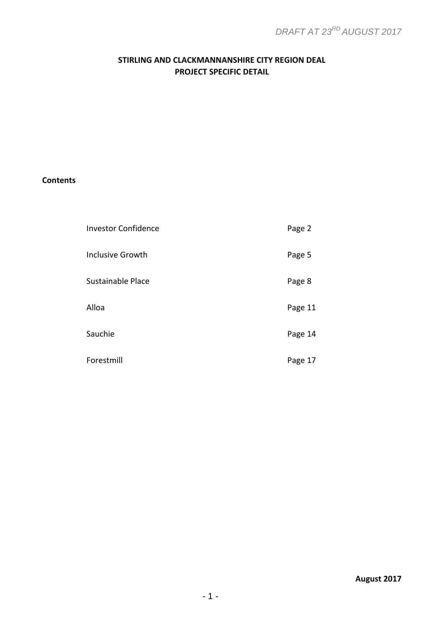# **STIRLING AND CLACKMANNANSHIRE CITY REGION DEAL PROJECT SPECIFIC DETAIL**

## **Contents**

| <b>Investor Confidence</b> | Page 2  |
|----------------------------|---------|
| <b>Inclusive Growth</b>    | Page 5  |
| Sustainable Place          | Page 8  |
| Alloa                      | Page 11 |
| Sauchie                    | Page 14 |
| Forestmill                 | Page 17 |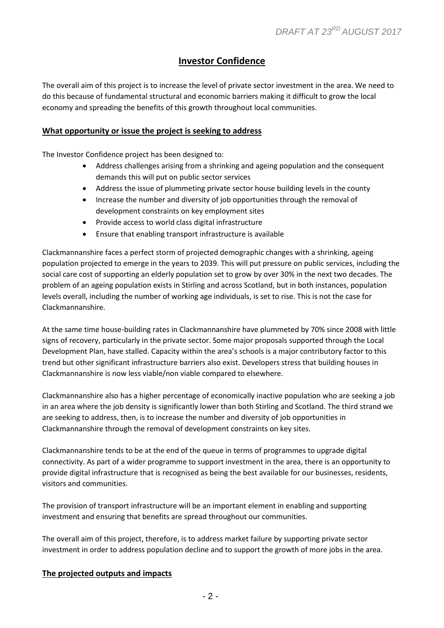# **Investor Confidence**

The overall aim of this project is to increase the level of private sector investment in the area. We need to do this because of fundamental structural and economic barriers making it difficult to grow the local economy and spreading the benefits of this growth throughout local communities.

#### **What opportunity or issue the project is seeking to address**

The Investor Confidence project has been designed to:

- Address challenges arising from a shrinking and ageing population and the consequent demands this will put on public sector services
- Address the issue of plummeting private sector house building levels in the county
- Increase the number and diversity of job opportunities through the removal of development constraints on key employment sites
- Provide access to world class digital infrastructure
- Ensure that enabling transport infrastructure is available

Clackmannanshire faces a perfect storm of projected demographic changes with a shrinking, ageing population projected to emerge in the years to 2039. This will put pressure on public services, including the social care cost of supporting an elderly population set to grow by over 30% in the next two decades. The problem of an ageing population exists in Stirling and across Scotland, but in both instances, population levels overall, including the number of working age individuals, is set to rise. This is not the case for Clackmannanshire.

At the same time house-building rates in Clackmannanshire have plummeted by 70% since 2008 with little signs of recovery, particularly in the private sector. Some major proposals supported through the Local Development Plan, have stalled. Capacity within the area's schools is a major contributory factor to this trend but other significant infrastructure barriers also exist. Developers stress that building houses in Clackmannanshire is now less viable/non viable compared to elsewhere.

Clackmannanshire also has a higher percentage of economically inactive population who are seeking a job in an area where the job density is significantly lower than both Stirling and Scotland. The third strand we are seeking to address, then, is to increase the number and diversity of job opportunities in Clackmannanshire through the removal of development constraints on key sites.

Clackmannanshire tends to be at the end of the queue in terms of programmes to upgrade digital connectivity. As part of a wider programme to support investment in the area, there is an opportunity to provide digital infrastructure that is recognised as being the best available for our businesses, residents, visitors and communities.

The provision of transport infrastructure will be an important element in enabling and supporting investment and ensuring that benefits are spread throughout our communities.

The overall aim of this project, therefore, is to address market failure by supporting private sector investment in order to address population decline and to support the growth of more jobs in the area.

## **The projected outputs and impacts**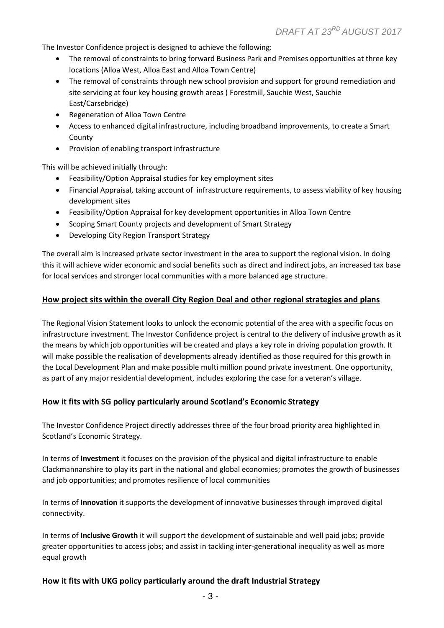The Investor Confidence project is designed to achieve the following:

- The removal of constraints to bring forward Business Park and Premises opportunities at three key locations (Alloa West, Alloa East and Alloa Town Centre)
- The removal of constraints through new school provision and support for ground remediation and site servicing at four key housing growth areas ( Forestmill, Sauchie West, Sauchie East/Carsebridge)
- Regeneration of Alloa Town Centre
- Access to enhanced digital infrastructure, including broadband improvements, to create a Smart County
- Provision of enabling transport infrastructure

This will be achieved initially through:

- Feasibility/Option Appraisal studies for key employment sites
- Financial Appraisal, taking account of infrastructure requirements, to assess viability of key housing development sites
- Feasibility/Option Appraisal for key development opportunities in Alloa Town Centre
- Scoping Smart County projects and development of Smart Strategy
- Developing City Region Transport Strategy

The overall aim is increased private sector investment in the area to support the regional vision. In doing this it will achieve wider economic and social benefits such as direct and indirect jobs, an increased tax base for local services and stronger local communities with a more balanced age structure.

#### **How project sits within the overall City Region Deal and other regional strategies and plans**

The Regional Vision Statement looks to unlock the economic potential of the area with a specific focus on infrastructure investment. The Investor Confidence project is central to the delivery of inclusive growth as it the means by which job opportunities will be created and plays a key role in driving population growth. It will make possible the realisation of developments already identified as those required for this growth in the Local Development Plan and make possible multi million pound private investment. One opportunity, as part of any major residential development, includes exploring the case for a veteran's village.

#### **How it fits with SG policy particularly around Scotland's Economic Strategy**

The Investor Confidence Project directly addresses three of the four broad priority area highlighted in Scotland's Economic Strategy.

In terms of **Investment** it focuses on the provision of the physical and digital infrastructure to enable Clackmannanshire to play its part in the national and global economies; promotes the growth of businesses and job opportunities; and promotes resilience of local communities

In terms of **Innovation** it supports the development of innovative businesses through improved digital connectivity.

In terms of **Inclusive Growth** it will support the development of sustainable and well paid jobs; provide greater opportunities to access jobs; and assist in tackling inter-generational inequality as well as more equal growth

#### **How it fits with UKG policy particularly around the draft Industrial Strategy**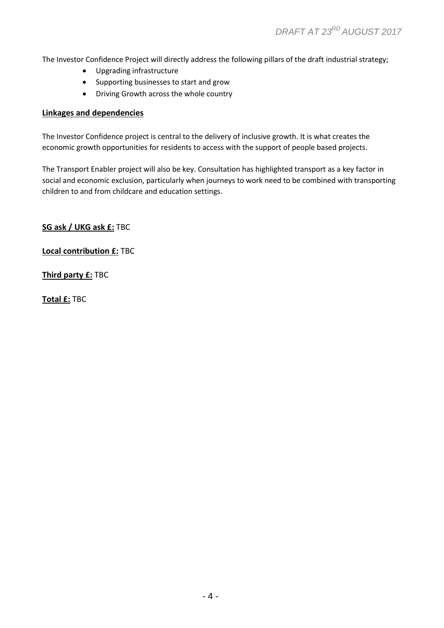The Investor Confidence Project will directly address the following pillars of the draft industrial strategy;

- Upgrading infrastructure
- Supporting businesses to start and grow
- Driving Growth across the whole country

#### **Linkages and dependencies**

The Investor Confidence project is central to the delivery of inclusive growth. It is what creates the economic growth opportunities for residents to access with the support of people based projects.

The Transport Enabler project will also be key. Consultation has highlighted transport as a key factor in social and economic exclusion, particularly when journeys to work need to be combined with transporting children to and from childcare and education settings.

**SG ask / UKG ask £:** TBC

**Local contribution £:** TBC

**Third party £:** TBC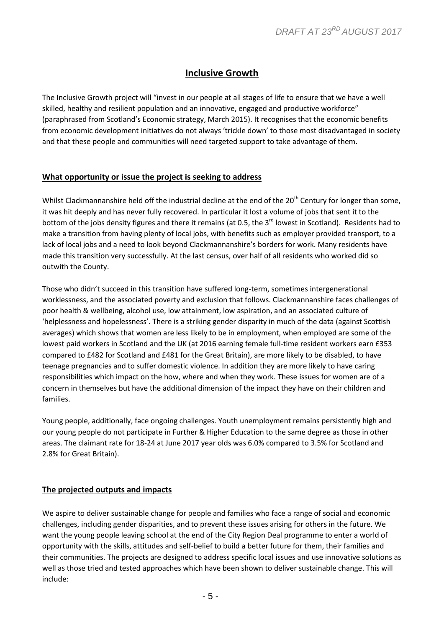# **Inclusive Growth**

The Inclusive Growth project will "invest in our people at all stages of life to ensure that we have a well skilled, healthy and resilient population and an innovative, engaged and productive workforce" (paraphrased from Scotland's Economic strategy, March 2015). It recognises that the economic benefits from economic development initiatives do not always 'trickle down' to those most disadvantaged in society and that these people and communities will need targeted support to take advantage of them.

#### **What opportunity or issue the project is seeking to address**

Whilst Clackmannanshire held off the industrial decline at the end of the 20<sup>th</sup> Century for longer than some, it was hit deeply and has never fully recovered. In particular it lost a volume of jobs that sent it to the bottom of the jobs density figures and there it remains (at 0.5, the 3<sup>rd</sup> lowest in Scotland). Residents had to make a transition from having plenty of local jobs, with benefits such as employer provided transport, to a lack of local jobs and a need to look beyond Clackmannanshire's borders for work. Many residents have made this transition very successfully. At the last census, over half of all residents who worked did so outwith the County.

Those who didn't succeed in this transition have suffered long-term, sometimes intergenerational worklessness, and the associated poverty and exclusion that follows. Clackmannanshire faces challenges of poor health & wellbeing, alcohol use, low attainment, low aspiration, and an associated culture of 'helplessness and hopelessness'. There is a striking gender disparity in much of the data (against Scottish averages) which shows that women are less likely to be in employment, when employed are some of the lowest paid workers in Scotland and the UK (at 2016 earning female full-time resident workers earn £353 compared to £482 for Scotland and £481 for the Great Britain), are more likely to be disabled, to have teenage pregnancies and to suffer domestic violence. In addition they are more likely to have caring responsibilities which impact on the how, where and when they work. These issues for women are of a concern in themselves but have the additional dimension of the impact they have on their children and families.

Young people, additionally, face ongoing challenges. Youth unemployment remains persistently high and our young people do not participate in Further & Higher Education to the same degree as those in other areas. The claimant rate for 18-24 at June 2017 year olds was 6.0% compared to 3.5% for Scotland and 2.8% for Great Britain).

#### **The projected outputs and impacts**

We aspire to deliver sustainable change for people and families who face a range of social and economic challenges, including gender disparities, and to prevent these issues arising for others in the future. We want the young people leaving school at the end of the City Region Deal programme to enter a world of opportunity with the skills, attitudes and self-belief to build a better future for them, their families and their communities. The projects are designed to address specific local issues and use innovative solutions as well as those tried and tested approaches which have been shown to deliver sustainable change. This will include: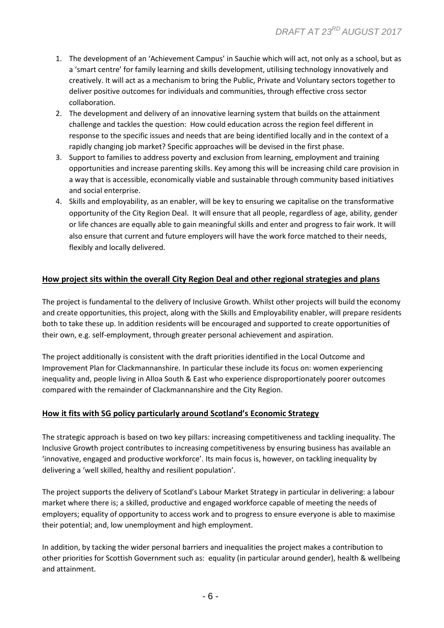- 1. The development of an 'Achievement Campus' in Sauchie which will act, not only as a school, but as a 'smart centre' for family learning and skills development, utilising technology innovatively and creatively. It will act as a mechanism to bring the Public, Private and Voluntary sectors together to deliver positive outcomes for individuals and communities, through effective cross sector collaboration.
- 2. The development and delivery of an innovative learning system that builds on the attainment challenge and tackles the question: How could education across the region feel different in response to the specific issues and needs that are being identified locally and in the context of a rapidly changing job market? Specific approaches will be devised in the first phase.
- 3. Support to families to address poverty and exclusion from learning, employment and training opportunities and increase parenting skills. Key among this will be increasing child care provision in a way that is accessible, economically viable and sustainable through community based initiatives and social enterprise.
- 4. Skills and employability, as an enabler, will be key to ensuring we capitalise on the transformative opportunity of the City Region Deal. It will ensure that all people, regardless of age, ability, gender or life chances are equally able to gain meaningful skills and enter and progress to fair work. It will also ensure that current and future employers will have the work force matched to their needs, flexibly and locally delivered.

## **How project sits within the overall City Region Deal and other regional strategies and plans**

The project is fundamental to the delivery of Inclusive Growth. Whilst other projects will build the economy and create opportunities, this project, along with the Skills and Employability enabler, will prepare residents both to take these up. In addition residents will be encouraged and supported to create opportunities of their own, e.g. self-employment, through greater personal achievement and aspiration.

The project additionally is consistent with the draft priorities identified in the Local Outcome and Improvement Plan for Clackmannanshire. In particular these include its focus on: women experiencing inequality and, people living in Alloa South & East who experience disproportionately poorer outcomes compared with the remainder of Clackmannanshire and the City Region.

## **How it fits with SG policy particularly around Scotland's Economic Strategy**

The strategic approach is based on two key pillars: increasing competitiveness and tackling inequality. The Inclusive Growth project contributes to increasing competitiveness by ensuring business has available an 'innovative, engaged and productive workforce'. Its main focus is, however, on tackling inequality by delivering a 'well skilled, healthy and resilient population'.

The project supports the delivery of Scotland's Labour Market Strategy in particular in delivering: a labour market where there is; a skilled, productive and engaged workforce capable of meeting the needs of employers; equality of opportunity to access work and to progress to ensure everyone is able to maximise their potential; and, low unemployment and high employment.

In addition, by tacking the wider personal barriers and inequalities the project makes a contribution to other priorities for Scottish Government such as: equality (in particular around gender), health & wellbeing and attainment.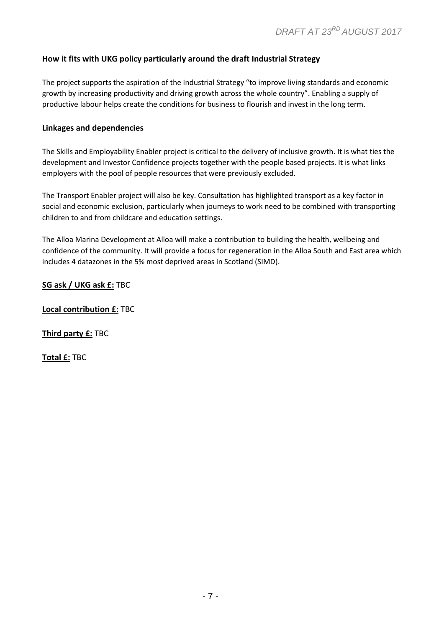## **How it fits with UKG policy particularly around the draft Industrial Strategy**

The project supports the aspiration of the Industrial Strategy "to improve living standards and economic growth by increasing productivity and driving growth across the whole country". Enabling a supply of productive labour helps create the conditions for business to flourish and invest in the long term.

#### **Linkages and dependencies**

The Skills and Employability Enabler project is critical to the delivery of inclusive growth. It is what ties the development and Investor Confidence projects together with the people based projects. It is what links employers with the pool of people resources that were previously excluded.

The Transport Enabler project will also be key. Consultation has highlighted transport as a key factor in social and economic exclusion, particularly when journeys to work need to be combined with transporting children to and from childcare and education settings.

The Alloa Marina Development at Alloa will make a contribution to building the health, wellbeing and confidence of the community. It will provide a focus for regeneration in the Alloa South and East area which includes 4 datazones in the 5% most deprived areas in Scotland (SIMD).

**SG ask / UKG ask £:** TBC

**Local contribution £:** TBC

**Third party £:** TBC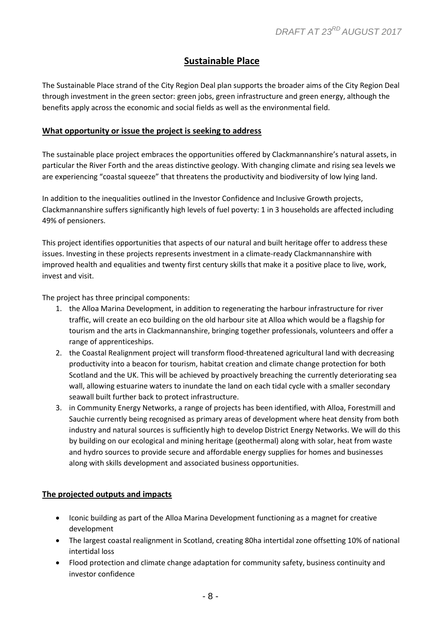# **Sustainable Place**

The Sustainable Place strand of the City Region Deal plan supports the broader aims of the City Region Deal through investment in the green sector: green jobs, green infrastructure and green energy, although the benefits apply across the economic and social fields as well as the environmental field.

#### **What opportunity or issue the project is seeking to address**

The sustainable place project embraces the opportunities offered by Clackmannanshire's natural assets, in particular the River Forth and the areas distinctive geology. With changing climate and rising sea levels we are experiencing "coastal squeeze" that threatens the productivity and biodiversity of low lying land.

In addition to the inequalities outlined in the Investor Confidence and Inclusive Growth projects, Clackmannanshire suffers significantly high levels of fuel poverty: 1 in 3 households are affected including 49% of pensioners.

This project identifies opportunities that aspects of our natural and built heritage offer to address these issues. Investing in these projects represents investment in a climate-ready Clackmannanshire with improved health and equalities and twenty first century skills that make it a positive place to live, work, invest and visit.

The project has three principal components:

- 1. the Alloa Marina Development, in addition to regenerating the harbour infrastructure for river traffic, will create an eco building on the old harbour site at Alloa which would be a flagship for tourism and the arts in Clackmannanshire, bringing together professionals, volunteers and offer a range of apprenticeships.
- 2. the Coastal Realignment project will transform flood-threatened agricultural land with decreasing productivity into a beacon for tourism, habitat creation and climate change protection for both Scotland and the UK. This will be achieved by proactively breaching the currently deteriorating sea wall, allowing estuarine waters to inundate the land on each tidal cycle with a smaller secondary seawall built further back to protect infrastructure.
- 3. in Community Energy Networks, a range of projects has been identified, with Alloa, Forestmill and Sauchie currently being recognised as primary areas of development where heat density from both industry and natural sources is sufficiently high to develop District Energy Networks. We will do this by building on our ecological and mining heritage (geothermal) along with solar, heat from waste and hydro sources to provide secure and affordable energy supplies for homes and businesses along with skills development and associated business opportunities.

## **The projected outputs and impacts**

- Iconic building as part of the Alloa Marina Development functioning as a magnet for creative development
- The largest coastal realignment in Scotland, creating 80ha intertidal zone offsetting 10% of national intertidal loss
- Flood protection and climate change adaptation for community safety, business continuity and investor confidence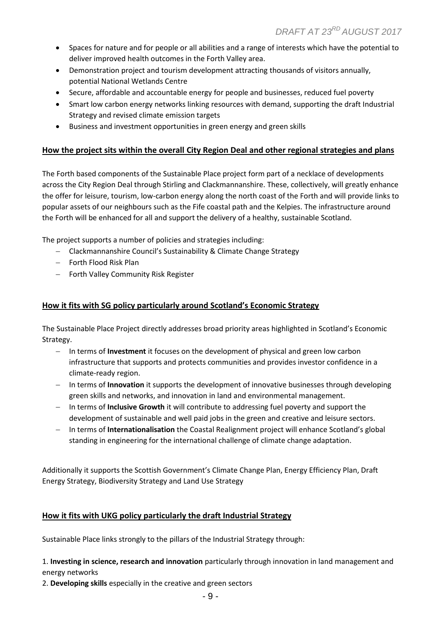- Spaces for nature and for people or all abilities and a range of interests which have the potential to deliver improved health outcomes in the Forth Valley area.
- Demonstration project and tourism development attracting thousands of visitors annually, potential National Wetlands Centre
- Secure, affordable and accountable energy for people and businesses, reduced fuel poverty
- Smart low carbon energy networks linking resources with demand, supporting the draft Industrial Strategy and revised climate emission targets
- Business and investment opportunities in green energy and green skills

### **How the project sits within the overall City Region Deal and other regional strategies and plans**

The Forth based components of the Sustainable Place project form part of a necklace of developments across the City Region Deal through Stirling and Clackmannanshire. These, collectively, will greatly enhance the offer for leisure, tourism, low-carbon energy along the north coast of the Forth and will provide links to popular assets of our neighbours such as the Fife coastal path and the Kelpies. The infrastructure around the Forth will be enhanced for all and support the delivery of a healthy, sustainable Scotland.

The project supports a number of policies and strategies including:

- Clackmannanshire Council's Sustainability & Climate Change Strategy
- Forth Flood Risk Plan
- Forth Valley Community Risk Register

#### **How it fits with SG policy particularly around Scotland's Economic Strategy**

The Sustainable Place Project directly addresses broad priority areas highlighted in Scotland's Economic Strategy.

- In terms of **Investment** it focuses on the development of physical and green low carbon infrastructure that supports and protects communities and provides investor confidence in a climate-ready region.
- In terms of **Innovation** it supports the development of innovative businesses through developing green skills and networks, and innovation in land and environmental management.
- In terms of **Inclusive Growth** it will contribute to addressing fuel poverty and support the development of sustainable and well paid jobs in the green and creative and leisure sectors.
- In terms of **Internationalisation** the Coastal Realignment project will enhance Scotland's global standing in engineering for the international challenge of climate change adaptation.

Additionally it supports the Scottish Government's Climate Change Plan, Energy Efficiency Plan, Draft Energy Strategy, Biodiversity Strategy and Land Use Strategy

#### **How it fits with UKG policy particularly the draft Industrial Strategy**

Sustainable Place links strongly to the pillars of the Industrial Strategy through:

1. **Investing in science, research and innovation** particularly through innovation in land management and energy networks

2. **Developing skills** especially in the creative and green sectors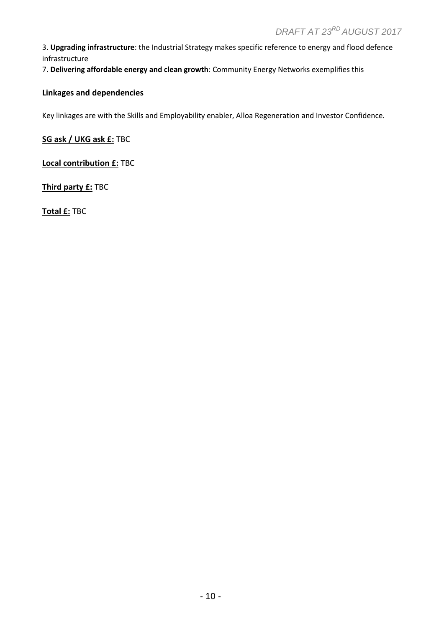3. **Upgrading infrastructure**: the Industrial Strategy makes specific reference to energy and flood defence infrastructure

7. **Delivering affordable energy and clean growth**: Community Energy Networks exemplifies this

#### **Linkages and dependencies**

Key linkages are with the Skills and Employability enabler, Alloa Regeneration and Investor Confidence.

**SG ask / UKG ask £:** TBC

**Local contribution £:** TBC

**Third party £:** TBC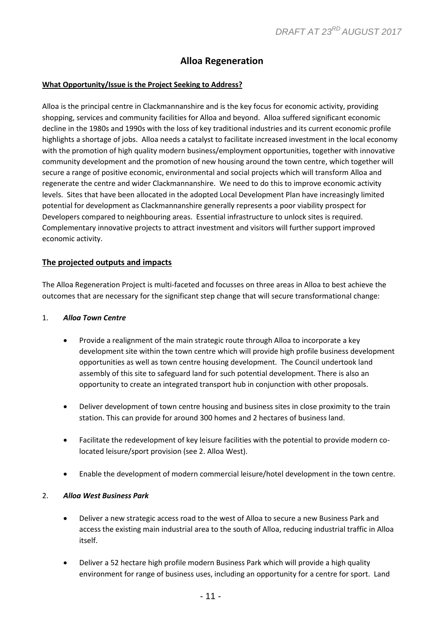# **Alloa Regeneration**

#### **What Opportunity/Issue is the Project Seeking to Address?**

Alloa is the principal centre in Clackmannanshire and is the key focus for economic activity, providing shopping, services and community facilities for Alloa and beyond. Alloa suffered significant economic decline in the 1980s and 1990s with the loss of key traditional industries and its current economic profile highlights a shortage of jobs. Alloa needs a catalyst to facilitate increased investment in the local economy with the promotion of high quality modern business/employment opportunities, together with innovative community development and the promotion of new housing around the town centre, which together will secure a range of positive economic, environmental and social projects which will transform Alloa and regenerate the centre and wider Clackmannanshire. We need to do this to improve economic activity levels. Sites that have been allocated in the adopted Local Development Plan have increasingly limited potential for development as Clackmannanshire generally represents a poor viability prospect for Developers compared to neighbouring areas. Essential infrastructure to unlock sites is required. Complementary innovative projects to attract investment and visitors will further support improved economic activity.

#### **The projected outputs and impacts**

The Alloa Regeneration Project is multi-faceted and focusses on three areas in Alloa to best achieve the outcomes that are necessary for the significant step change that will secure transformational change:

#### 1. *Alloa Town Centre*

- Provide a realignment of the main strategic route through Alloa to incorporate a key development site within the town centre which will provide high profile business development opportunities as well as town centre housing development. The Council undertook land assembly of this site to safeguard land for such potential development. There is also an opportunity to create an integrated transport hub in conjunction with other proposals.
- Deliver development of town centre housing and business sites in close proximity to the train station. This can provide for around 300 homes and 2 hectares of business land.
- Facilitate the redevelopment of key leisure facilities with the potential to provide modern colocated leisure/sport provision (see 2. Alloa West).
- Enable the development of modern commercial leisure/hotel development in the town centre.

#### 2. *Alloa West Business Park*

- Deliver a new strategic access road to the west of Alloa to secure a new Business Park and access the existing main industrial area to the south of Alloa, reducing industrial traffic in Alloa itself.
- Deliver a 52 hectare high profile modern Business Park which will provide a high quality environment for range of business uses, including an opportunity for a centre for sport. Land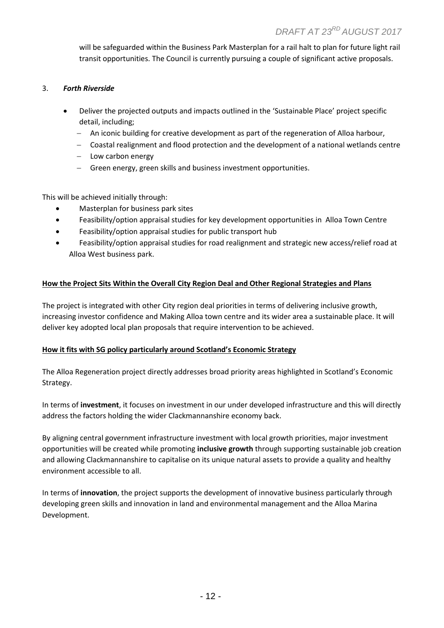will be safeguarded within the Business Park Masterplan for a rail halt to plan for future light rail transit opportunities. The Council is currently pursuing a couple of significant active proposals.

#### 3. *Forth Riverside*

- Deliver the projected outputs and impacts outlined in the 'Sustainable Place' project specific detail, including;
	- An iconic building for creative development as part of the regeneration of Alloa harbour,
	- Coastal realignment and flood protection and the development of a national wetlands centre
	- $-$  Low carbon energy
	- Green energy, green skills and business investment opportunities.

This will be achieved initially through:

- Masterplan for business park sites
- Feasibility/option appraisal studies for key development opportunities in Alloa Town Centre
- Feasibility/option appraisal studies for public transport hub
- Feasibility/option appraisal studies for road realignment and strategic new access/relief road at Alloa West business park.

## **How the Project Sits Within the Overall City Region Deal and Other Regional Strategies and Plans**

The project is integrated with other City region deal priorities in terms of delivering inclusive growth, increasing investor confidence and Making Alloa town centre and its wider area a sustainable place. It will deliver key adopted local plan proposals that require intervention to be achieved.

#### **How it fits with SG policy particularly around Scotland's Economic Strategy**

The Alloa Regeneration project directly addresses broad priority areas highlighted in Scotland's Economic Strategy.

In terms of **investment**, it focuses on investment in our under developed infrastructure and this will directly address the factors holding the wider Clackmannanshire economy back.

By aligning central government infrastructure investment with local growth priorities, major investment opportunities will be created while promoting **inclusive growth** through supporting sustainable job creation and allowing Clackmannanshire to capitalise on its unique natural assets to provide a quality and healthy environment accessible to all.

In terms of **innovation**, the project supports the development of innovative business particularly through developing green skills and innovation in land and environmental management and the Alloa Marina Development.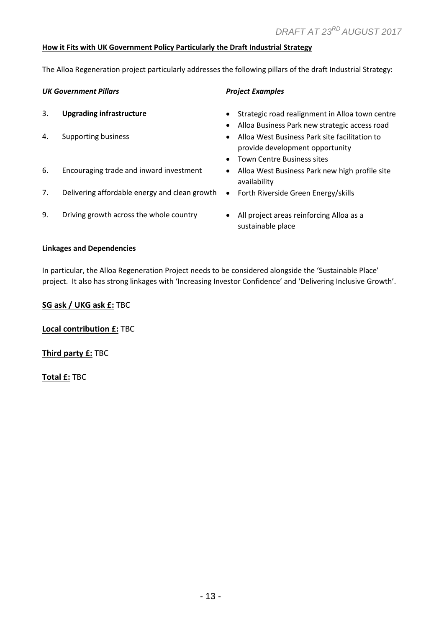#### **How it Fits with UK Government Policy Particularly the Draft Industrial Strategy**

The Alloa Regeneration project particularly addresses the following pillars of the draft Industrial Strategy:

#### **UK Government Pillars** *Project Examples*

- 3. **Upgrading infrastructure 12. In the Strategic road realignment in Alloa town centre**
- 
- 6. Encouraging trade and inward investment . Alloa West Business Park new high profile site
- 7. Delivering affordable energy and clean growth . Forth Riverside Green Energy/skills
- - Alloa Business Park new strategic access road
- 4. Supporting business **Alloa West Business Park site facilitation to** Alloa West Business Park site facilitation to provide development opportunity
	- Town Centre Business sites
	- availability
	-
- 9. Driving growth across the whole country **All project areas reinforcing Alloa as a** 
	- sustainable place

#### **Linkages and Dependencies**

In particular, the Alloa Regeneration Project needs to be considered alongside the 'Sustainable Place' project. It also has strong linkages with 'Increasing Investor Confidence' and 'Delivering Inclusive Growth'.

#### **SG ask / UKG ask £:** TBC

**Local contribution £:** TBC

**Third party £:** TBC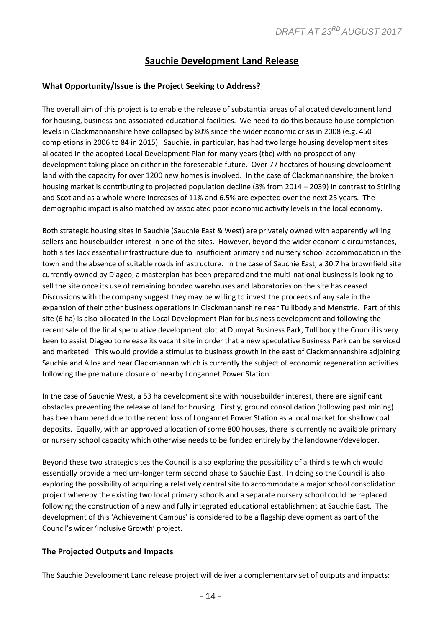# **Sauchie Development Land Release**

#### **What Opportunity/Issue is the Project Seeking to Address?**

The overall aim of this project is to enable the release of substantial areas of allocated development land for housing, business and associated educational facilities. We need to do this because house completion levels in Clackmannanshire have collapsed by 80% since the wider economic crisis in 2008 (e.g. 450 completions in 2006 to 84 in 2015). Sauchie, in particular, has had two large housing development sites allocated in the adopted Local Development Plan for many years (tbc) with no prospect of any development taking place on either in the foreseeable future. Over 77 hectares of housing development land with the capacity for over 1200 new homes is involved. In the case of Clackmannanshire, the broken housing market is contributing to projected population decline (3% from 2014 – 2039) in contrast to Stirling and Scotland as a whole where increases of 11% and 6.5% are expected over the next 25 years. The demographic impact is also matched by associated poor economic activity levels in the local economy.

Both strategic housing sites in Sauchie (Sauchie East & West) are privately owned with apparently willing sellers and housebuilder interest in one of the sites. However, beyond the wider economic circumstances, both sites lack essential infrastructure due to insufficient primary and nursery school accommodation in the town and the absence of suitable roads infrastructure. In the case of Sauchie East, a 30.7 ha brownfield site currently owned by Diageo, a masterplan has been prepared and the multi-national business is looking to sell the site once its use of remaining bonded warehouses and laboratories on the site has ceased. Discussions with the company suggest they may be willing to invest the proceeds of any sale in the expansion of their other business operations in Clackmannanshire near Tullibody and Menstrie. Part of this site (6 ha) is also allocated in the Local Development Plan for business development and following the recent sale of the final speculative development plot at Dumyat Business Park, Tullibody the Council is very keen to assist Diageo to release its vacant site in order that a new speculative Business Park can be serviced and marketed. This would provide a stimulus to business growth in the east of Clackmannanshire adjoining Sauchie and Alloa and near Clackmannan which is currently the subject of economic regeneration activities following the premature closure of nearby Longannet Power Station.

In the case of Sauchie West, a 53 ha development site with housebuilder interest, there are significant obstacles preventing the release of land for housing. Firstly, ground consolidation (following past mining) has been hampered due to the recent loss of Longannet Power Station as a local market for shallow coal deposits. Equally, with an approved allocation of some 800 houses, there is currently no available primary or nursery school capacity which otherwise needs to be funded entirely by the landowner/developer.

Beyond these two strategic sites the Council is also exploring the possibility of a third site which would essentially provide a medium-longer term second phase to Sauchie East. In doing so the Council is also exploring the possibility of acquiring a relatively central site to accommodate a major school consolidation project whereby the existing two local primary schools and a separate nursery school could be replaced following the construction of a new and fully integrated educational establishment at Sauchie East. The development of this 'Achievement Campus' is considered to be a flagship development as part of the Council's wider 'Inclusive Growth' project.

#### **The Projected Outputs and Impacts**

The Sauchie Development Land release project will deliver a complementary set of outputs and impacts: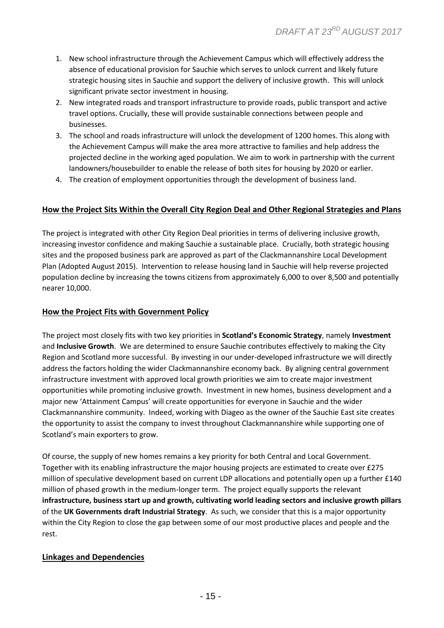- 1. New school infrastructure through the Achievement Campus which will effectively address the absence of educational provision for Sauchie which serves to unlock current and likely future strategic housing sites in Sauchie and support the delivery of inclusive growth. This will unlock significant private sector investment in housing.
- 2. New integrated roads and transport infrastructure to provide roads, public transport and active travel options. Crucially, these will provide sustainable connections between people and businesses.
- 3. The school and roads infrastructure will unlock the development of 1200 homes. This along with the Achievement Campus will make the area more attractive to families and help address the projected decline in the working aged population. We aim to work in partnership with the current landowners/housebuilder to enable the release of both sites for housing by 2020 or earlier.
- 4. The creation of employment opportunities through the development of business land.

## **How the Project Sits Within the Overall City Region Deal and Other Regional Strategies and Plans**

The project is integrated with other City Region Deal priorities in terms of delivering inclusive growth, increasing investor confidence and making Sauchie a sustainable place. Crucially, both strategic housing sites and the proposed business park are approved as part of the Clackmannanshire Local Development Plan (Adopted August 2015). Intervention to release housing land in Sauchie will help reverse projected population decline by increasing the towns citizens from approximately 6,000 to over 8,500 and potentially nearer 10,000.

#### **How the Project Fits with Government Policy**

The project most closely fits with two key priorities in **Scotland's Economic Strategy**, namely **Investment** and **Inclusive Growth**. We are determined to ensure Sauchie contributes effectively to making the City Region and Scotland more successful. By investing in our under-developed infrastructure we will directly address the factors holding the wider Clackmannanshire economy back. By aligning central government infrastructure investment with approved local growth priorities we aim to create major investment opportunities while promoting inclusive growth. Investment in new homes, business development and a major new 'Attainment Campus' will create opportunities for everyone in Sauchie and the wider Clackmannanshire community. Indeed, working with Diageo as the owner of the Sauchie East site creates the opportunity to assist the company to invest throughout Clackmannanshire while supporting one of Scotland's main exporters to grow.

Of course, the supply of new homes remains a key priority for both Central and Local Government. Together with its enabling infrastructure the major housing projects are estimated to create over £275 million of speculative development based on current LDP allocations and potentially open up a further £140 million of phased growth in the medium-longer term. The project equally supports the relevant **infrastructure, business start up and growth, cultivating world leading sectors and inclusive growth pillars** of the **UK Governments draft Industrial Strategy**. As such, we consider that this is a major opportunity within the City Region to close the gap between some of our most productive places and people and the rest.

## **Linkages and Dependencies**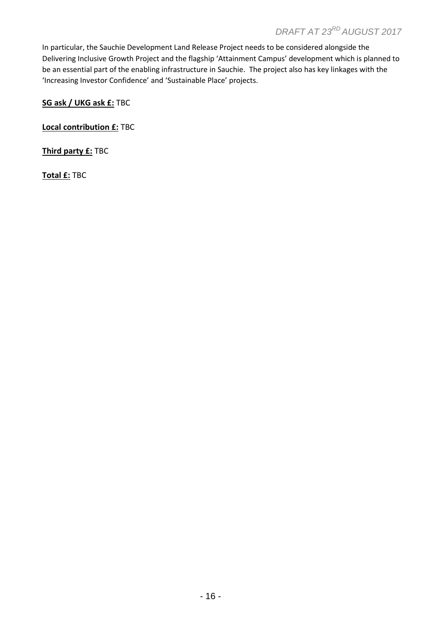# *DRAFT AT 23 RD AUGUST 2017*

In particular, the Sauchie Development Land Release Project needs to be considered alongside the Delivering Inclusive Growth Project and the flagship 'Attainment Campus' development which is planned to be an essential part of the enabling infrastructure in Sauchie. The project also has key linkages with the 'Increasing Investor Confidence' and 'Sustainable Place' projects.

**SG ask / UKG ask £:** TBC

**Local contribution £:** TBC

**Third party £:** TBC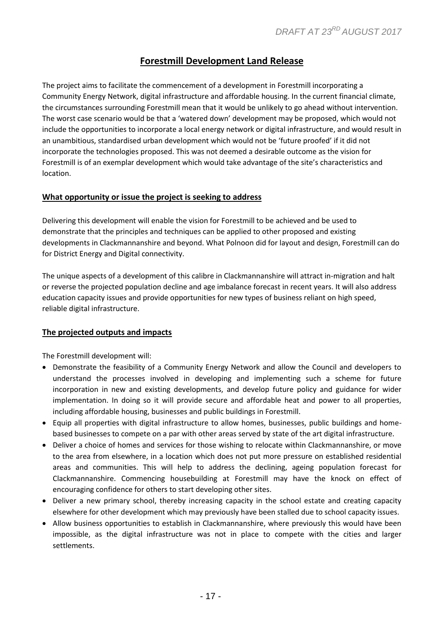# **Forestmill Development Land Release**

The project aims to facilitate the commencement of a development in Forestmill incorporating a Community Energy Network, digital infrastructure and affordable housing. In the current financial climate, the circumstances surrounding Forestmill mean that it would be unlikely to go ahead without intervention. The worst case scenario would be that a 'watered down' development may be proposed, which would not include the opportunities to incorporate a local energy network or digital infrastructure, and would result in an unambitious, standardised urban development which would not be 'future proofed' if it did not incorporate the technologies proposed. This was not deemed a desirable outcome as the vision for Forestmill is of an exemplar development which would take advantage of the site's characteristics and location.

#### **What opportunity or issue the project is seeking to address**

Delivering this development will enable the vision for Forestmill to be achieved and be used to demonstrate that the principles and techniques can be applied to other proposed and existing developments in Clackmannanshire and beyond. What Polnoon did for layout and design, Forestmill can do for District Energy and Digital connectivity.

The unique aspects of a development of this calibre in Clackmannanshire will attract in-migration and halt or reverse the projected population decline and age imbalance forecast in recent years. It will also address education capacity issues and provide opportunities for new types of business reliant on high speed, reliable digital infrastructure.

## **The projected outputs and impacts**

The Forestmill development will:

- Demonstrate the feasibility of a Community Energy Network and allow the Council and developers to understand the processes involved in developing and implementing such a scheme for future incorporation in new and existing developments, and develop future policy and guidance for wider implementation. In doing so it will provide secure and affordable heat and power to all properties, including affordable housing, businesses and public buildings in Forestmill.
- Equip all properties with digital infrastructure to allow homes, businesses, public buildings and homebased businesses to compete on a par with other areas served by state of the art digital infrastructure.
- Deliver a choice of homes and services for those wishing to relocate within Clackmannanshire, or move to the area from elsewhere, in a location which does not put more pressure on established residential areas and communities. This will help to address the declining, ageing population forecast for Clackmannanshire. Commencing housebuilding at Forestmill may have the knock on effect of encouraging confidence for others to start developing other sites.
- Deliver a new primary school, thereby increasing capacity in the school estate and creating capacity elsewhere for other development which may previously have been stalled due to school capacity issues.
- Allow business opportunities to establish in Clackmannanshire, where previously this would have been impossible, as the digital infrastructure was not in place to compete with the cities and larger settlements.